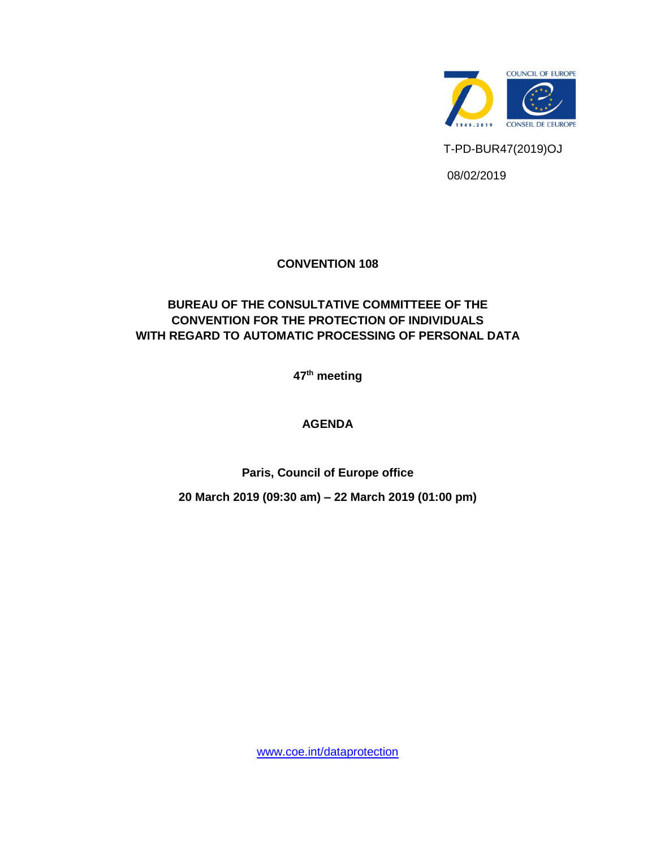

## **CONVENTION 108**

# **BUREAU OF THE CONSULTATIVE COMMITTEEE OF THE CONVENTION FOR THE PROTECTION OF INDIVIDUALS WITH REGARD TO AUTOMATIC PROCESSING OF PERSONAL DATA**

**47 th meeting** 

### **AGENDA**

**Paris, Council of Europe office**

**20 March 2019 (09:30 am) – 22 March 2019 (01:00 pm)**

[www.coe.int/dataprotection](http://www.coe.int/dataprotection)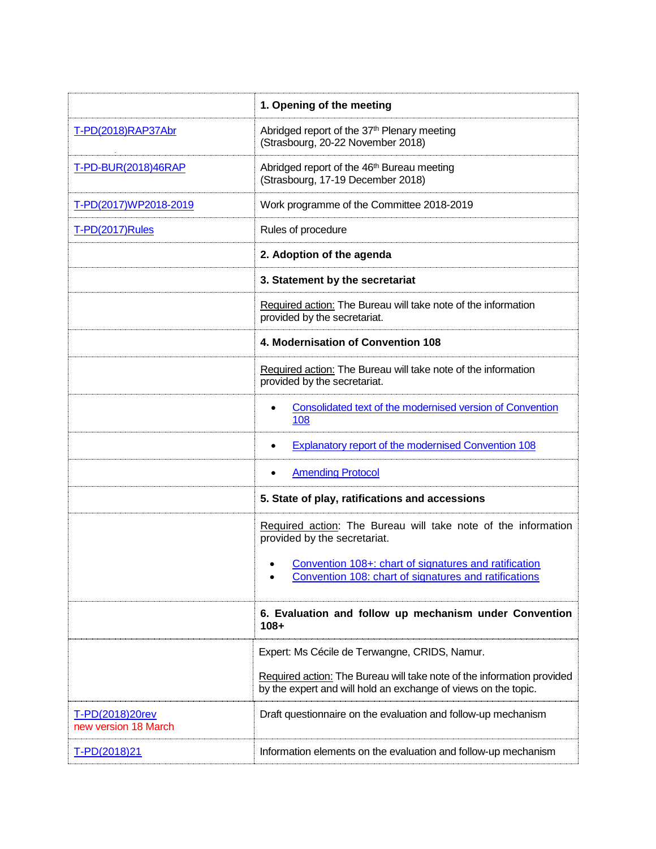|                                                | 1. Opening of the meeting                                                                                                                |  |  |
|------------------------------------------------|------------------------------------------------------------------------------------------------------------------------------------------|--|--|
| T-PD(2018)RAP37Abr                             | Abridged report of the 37 <sup>th</sup> Plenary meeting<br>(Strasbourg, 20-22 November 2018)                                             |  |  |
| T-PD-BUR(2018)46RAP                            | Abridged report of the 46 <sup>th</sup> Bureau meeting<br>(Strasbourg, 17-19 December 2018)                                              |  |  |
| T-PD(2017)WP2018-2019                          | Work programme of the Committee 2018-2019                                                                                                |  |  |
| T-PD(2017)Rules                                | Rules of procedure                                                                                                                       |  |  |
|                                                | 2. Adoption of the agenda<br>3. Statement by the secretariat                                                                             |  |  |
|                                                |                                                                                                                                          |  |  |
|                                                | Required action: The Bureau will take note of the information<br>provided by the secretariat.                                            |  |  |
|                                                | 4. Modernisation of Convention 108                                                                                                       |  |  |
|                                                | Required action: The Bureau will take note of the information<br>provided by the secretariat.                                            |  |  |
|                                                | Consolidated text of the modernised version of Convention<br>108                                                                         |  |  |
|                                                | <b>Explanatory report of the modernised Convention 108</b>                                                                               |  |  |
|                                                | <b>Amending Protocol</b>                                                                                                                 |  |  |
|                                                | 5. State of play, ratifications and accessions                                                                                           |  |  |
|                                                | Required action: The Bureau will take note of the information<br>provided by the secretariat.                                            |  |  |
|                                                | Convention 108+: chart of signatures and ratification<br>Convention 108: chart of signatures and ratifications                           |  |  |
|                                                | 6. Evaluation and follow up mechanism under Convention<br>$108 +$                                                                        |  |  |
|                                                | Expert: Ms Cécile de Terwangne, CRIDS, Namur.                                                                                            |  |  |
|                                                | Required action: The Bureau will take note of the information provided<br>by the expert and will hold an exchange of views on the topic. |  |  |
| <u>T-PD(2018)20rev</u><br>new version 18 March | Draft questionnaire on the evaluation and follow-up mechanism                                                                            |  |  |
| T-PD(2018)21                                   | Information elements on the evaluation and follow-up mechanism                                                                           |  |  |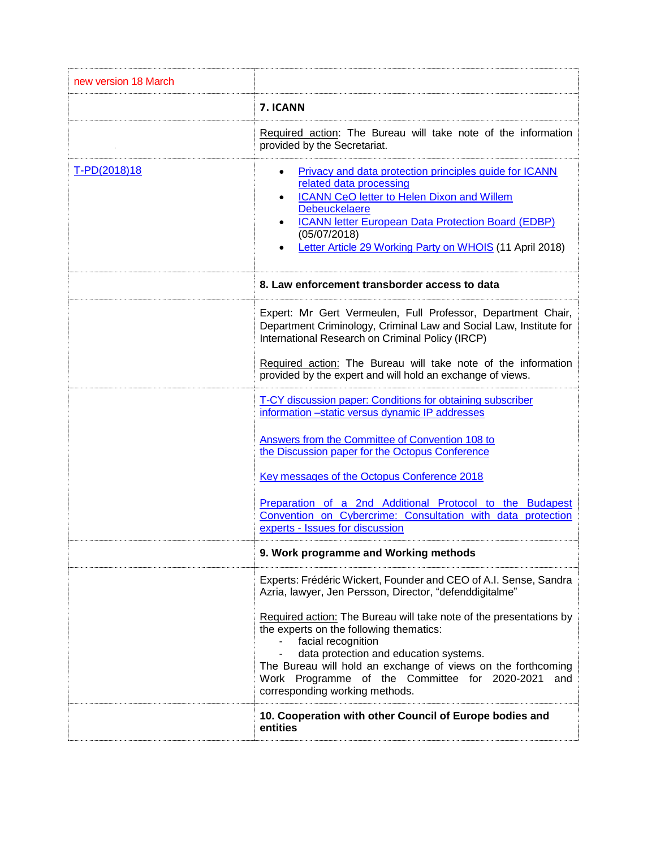| new version 18 March |                                                                                                                                                                                                                                                                                                                                         |  |  |  |
|----------------------|-----------------------------------------------------------------------------------------------------------------------------------------------------------------------------------------------------------------------------------------------------------------------------------------------------------------------------------------|--|--|--|
|                      | 7. ICANN                                                                                                                                                                                                                                                                                                                                |  |  |  |
|                      | Required action: The Bureau will take note of the information<br>provided by the Secretariat.                                                                                                                                                                                                                                           |  |  |  |
| T-PD(2018)18         | Privacy and data protection principles guide for ICANN<br>٠<br>related data processing<br><b>ICANN CeO letter to Helen Dixon and Willem</b><br>$\bullet$<br><b>Debeuckelaere</b><br><b>ICANN letter European Data Protection Board (EDBP)</b><br>(05/07/2018)<br>Letter Article 29 Working Party on WHOIS (11 April 2018)               |  |  |  |
|                      | 8. Law enforcement transborder access to data                                                                                                                                                                                                                                                                                           |  |  |  |
|                      | Expert: Mr Gert Vermeulen, Full Professor, Department Chair,<br>Department Criminology, Criminal Law and Social Law, Institute for<br>International Research on Criminal Policy (IRCP)                                                                                                                                                  |  |  |  |
|                      | Required action: The Bureau will take note of the information<br>provided by the expert and will hold an exchange of views.                                                                                                                                                                                                             |  |  |  |
|                      | T-CY discussion paper: Conditions for obtaining subscriber<br>information -static versus dynamic IP addresses                                                                                                                                                                                                                           |  |  |  |
|                      | Answers from the Committee of Convention 108 to<br>the Discussion paper for the Octopus Conference                                                                                                                                                                                                                                      |  |  |  |
|                      | Key messages of the Octopus Conference 2018                                                                                                                                                                                                                                                                                             |  |  |  |
|                      | Preparation of a 2nd Additional Protocol to the Budapest<br>Convention on Cybercrime: Consultation with data protection<br>experts - Issues for discussion                                                                                                                                                                              |  |  |  |
|                      | 9. Work programme and Working methods                                                                                                                                                                                                                                                                                                   |  |  |  |
|                      | Experts: Frédéric Wickert, Founder and CEO of A.I. Sense, Sandra<br>Azria, lawyer, Jen Persson, Director, "defenddigitalme"                                                                                                                                                                                                             |  |  |  |
|                      | Required action: The Bureau will take note of the presentations by<br>the experts on the following thematics:<br>facial recognition<br>data protection and education systems.<br>The Bureau will hold an exchange of views on the forthcoming<br>Work Programme of the Committee for 2020-2021<br>and<br>corresponding working methods. |  |  |  |
|                      | 10. Cooperation with other Council of Europe bodies and<br>entities                                                                                                                                                                                                                                                                     |  |  |  |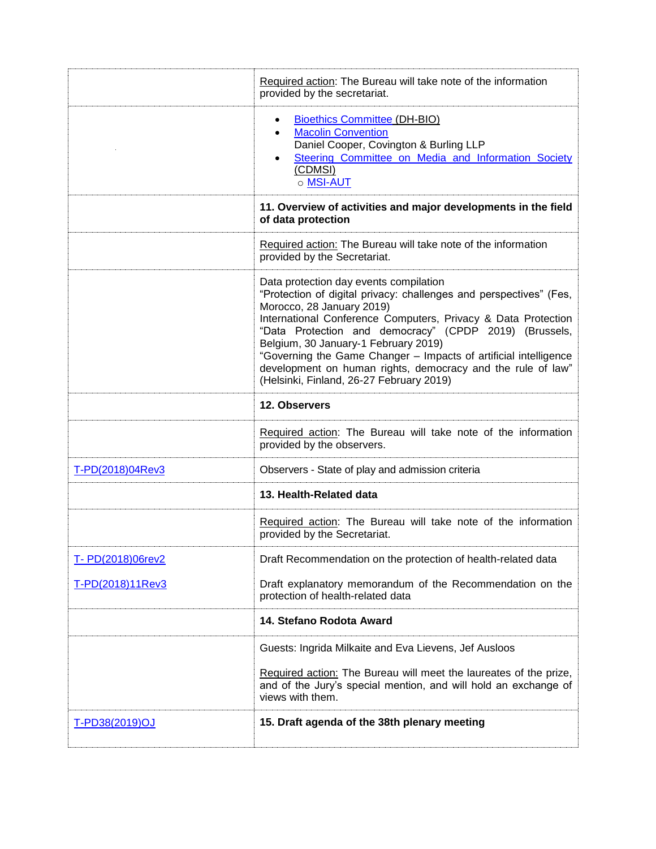|                   | Required action: The Bureau will take note of the information<br>provided by the secretariat.                                                                                                                                                                                                                                                                                                                                                                                               |  |  |  |
|-------------------|---------------------------------------------------------------------------------------------------------------------------------------------------------------------------------------------------------------------------------------------------------------------------------------------------------------------------------------------------------------------------------------------------------------------------------------------------------------------------------------------|--|--|--|
|                   | <b>Bioethics Committee (DH-BIO)</b><br><b>Macolin Convention</b><br>Daniel Cooper, Covington & Burling LLP<br>Steering Committee on Media and Information Society<br>(CDMSI)<br>o MSI-AUT                                                                                                                                                                                                                                                                                                   |  |  |  |
|                   | 11. Overview of activities and major developments in the field<br>of data protection                                                                                                                                                                                                                                                                                                                                                                                                        |  |  |  |
|                   | Required action: The Bureau will take note of the information<br>provided by the Secretariat.                                                                                                                                                                                                                                                                                                                                                                                               |  |  |  |
|                   | Data protection day events compilation<br>"Protection of digital privacy: challenges and perspectives" (Fes,<br>Morocco, 28 January 2019)<br>International Conference Computers, Privacy & Data Protection<br>"Data Protection and democracy" (CPDP 2019) (Brussels,<br>Belgium, 30 January-1 February 2019)<br>"Governing the Game Changer - Impacts of artificial intelligence<br>development on human rights, democracy and the rule of law"<br>(Helsinki, Finland, 26-27 February 2019) |  |  |  |
|                   | 12. Observers                                                                                                                                                                                                                                                                                                                                                                                                                                                                               |  |  |  |
|                   | Required action: The Bureau will take note of the information<br>provided by the observers.                                                                                                                                                                                                                                                                                                                                                                                                 |  |  |  |
| T-PD(2018)04Rev3  | Observers - State of play and admission criteria                                                                                                                                                                                                                                                                                                                                                                                                                                            |  |  |  |
|                   | 13. Health-Related data                                                                                                                                                                                                                                                                                                                                                                                                                                                                     |  |  |  |
|                   | Required action: The Bureau will take note of the information<br>provided by the Secretariat.                                                                                                                                                                                                                                                                                                                                                                                               |  |  |  |
| T- PD(2018)06rev2 | Draft Recommendation on the protection of health-related data                                                                                                                                                                                                                                                                                                                                                                                                                               |  |  |  |
| T-PD(2018)11Rev3  | Draft explanatory memorandum of the Recommendation on the<br>protection of health-related data                                                                                                                                                                                                                                                                                                                                                                                              |  |  |  |
|                   | 14. Stefano Rodota Award                                                                                                                                                                                                                                                                                                                                                                                                                                                                    |  |  |  |
|                   | Guests: Ingrida Milkaite and Eva Lievens, Jef Ausloos                                                                                                                                                                                                                                                                                                                                                                                                                                       |  |  |  |
|                   | Required action: The Bureau will meet the laureates of the prize,<br>and of the Jury's special mention, and will hold an exchange of<br>views with them.                                                                                                                                                                                                                                                                                                                                    |  |  |  |
| T-PD38(2019)OJ    | 15. Draft agenda of the 38th plenary meeting                                                                                                                                                                                                                                                                                                                                                                                                                                                |  |  |  |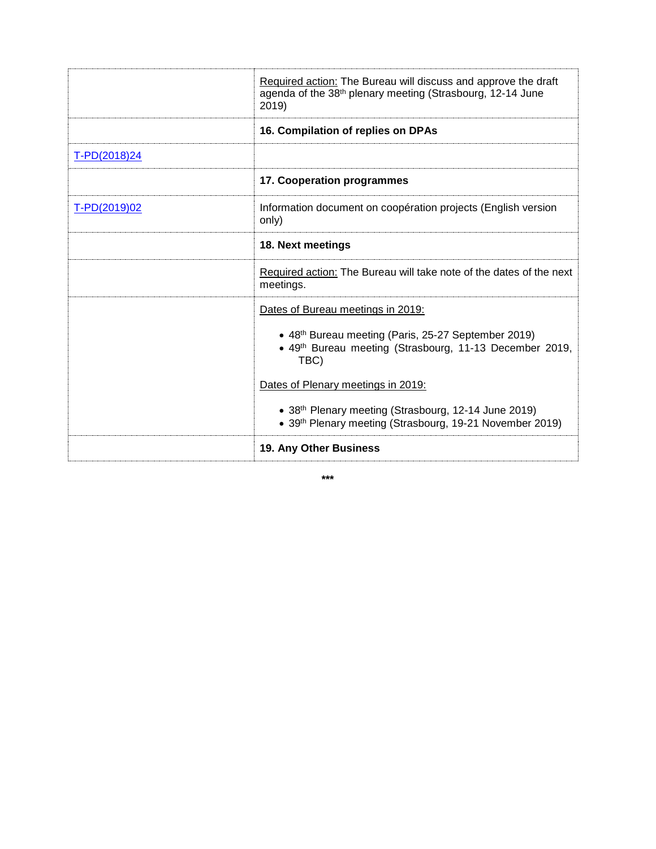|              | Required action: The Bureau will discuss and approve the draft<br>agenda of the 38th plenary meeting (Strasbourg, 12-14 June<br>2019)                                                                                                                                                                                             |  |  |
|--------------|-----------------------------------------------------------------------------------------------------------------------------------------------------------------------------------------------------------------------------------------------------------------------------------------------------------------------------------|--|--|
|              | 16. Compilation of replies on DPAs                                                                                                                                                                                                                                                                                                |  |  |
| T-PD(2018)24 |                                                                                                                                                                                                                                                                                                                                   |  |  |
|              | 17. Cooperation programmes                                                                                                                                                                                                                                                                                                        |  |  |
| T-PD(2019)02 | Information document on coopération projects (English version<br>only)                                                                                                                                                                                                                                                            |  |  |
|              | 18. Next meetings                                                                                                                                                                                                                                                                                                                 |  |  |
|              | Required action: The Bureau will take note of the dates of the next<br>meetings.                                                                                                                                                                                                                                                  |  |  |
|              | Dates of Bureau meetings in 2019:<br>• 48 <sup>th</sup> Bureau meeting (Paris, 25-27 September 2019)<br>• 49th Bureau meeting (Strasbourg, 11-13 December 2019,<br>TBC)<br>Dates of Plenary meetings in 2019:<br>• 38th Plenary meeting (Strasbourg, 12-14 June 2019)<br>• 39th Plenary meeting (Strasbourg, 19-21 November 2019) |  |  |
|              | 19. Any Other Business                                                                                                                                                                                                                                                                                                            |  |  |

**\*\*\***